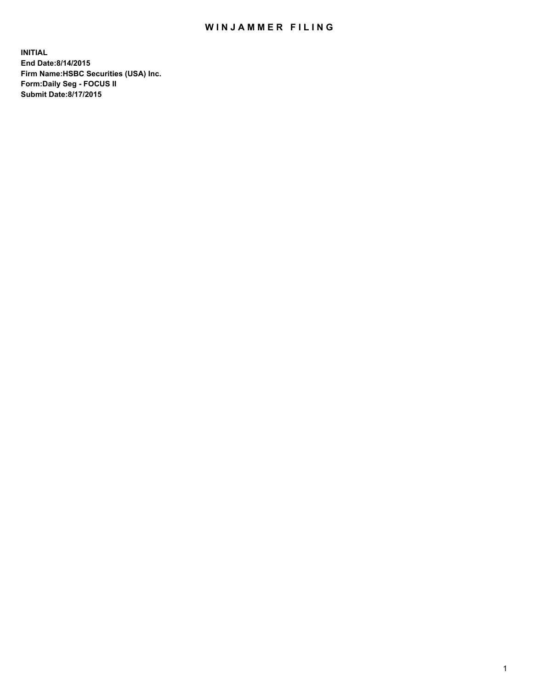## WIN JAMMER FILING

**INITIAL End Date:8/14/2015 Firm Name:HSBC Securities (USA) Inc. Form:Daily Seg - FOCUS II Submit Date:8/17/2015**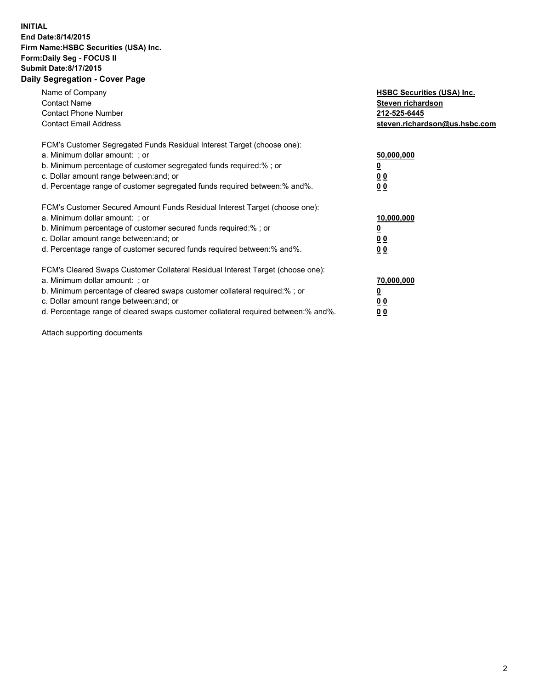## **INITIAL End Date:8/14/2015 Firm Name:HSBC Securities (USA) Inc. Form:Daily Seg - FOCUS II Submit Date:8/17/2015 Daily Segregation - Cover Page**

| Name of Company<br><b>Contact Name</b><br><b>Contact Phone Number</b><br><b>Contact Email Address</b>                                                                                                                                                                                                                          | <b>HSBC Securities (USA) Inc.</b><br>Steven richardson<br>212-525-6445<br>steven.richardson@us.hsbc.com |
|--------------------------------------------------------------------------------------------------------------------------------------------------------------------------------------------------------------------------------------------------------------------------------------------------------------------------------|---------------------------------------------------------------------------------------------------------|
| FCM's Customer Segregated Funds Residual Interest Target (choose one):<br>a. Minimum dollar amount: ; or<br>b. Minimum percentage of customer segregated funds required:%; or<br>c. Dollar amount range between: and; or<br>d. Percentage range of customer segregated funds required between: % and %.                        | 50,000,000<br>0 <sub>0</sub><br>0 <sub>0</sub>                                                          |
| FCM's Customer Secured Amount Funds Residual Interest Target (choose one):<br>a. Minimum dollar amount: ; or<br>b. Minimum percentage of customer secured funds required:%; or<br>c. Dollar amount range between: and; or<br>d. Percentage range of customer secured funds required between:% and%.                            | 10,000,000<br><u>0</u><br>0 <sub>0</sub><br>0 <sub>0</sub>                                              |
| FCM's Cleared Swaps Customer Collateral Residual Interest Target (choose one):<br>a. Minimum dollar amount: ; or<br>b. Minimum percentage of cleared swaps customer collateral required:% ; or<br>c. Dollar amount range between: and; or<br>d. Percentage range of cleared swaps customer collateral required between:% and%. | 70,000,000<br>00<br><u>00</u>                                                                           |

Attach supporting documents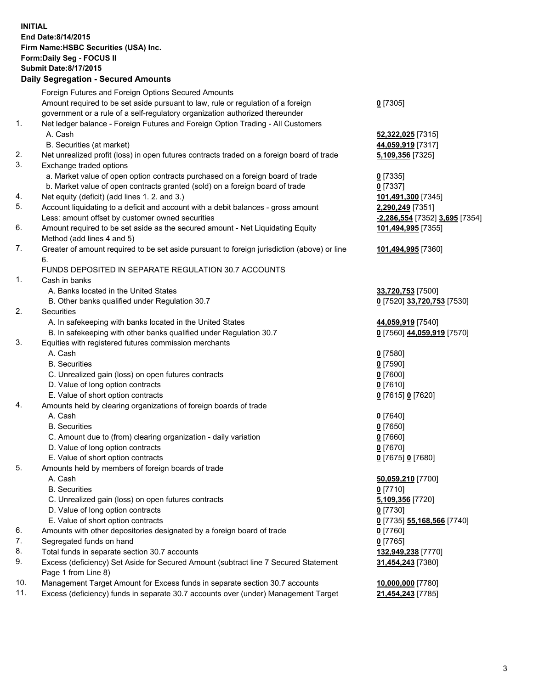**INITIAL End Date:8/14/2015 Firm Name:HSBC Securities (USA) Inc. Form:Daily Seg - FOCUS II Submit Date:8/17/2015 Daily Segregation - Secured Amounts**

Foreign Futures and Foreign Options Secured Amounts Amount required to be set aside pursuant to law, rule or regulation of a foreign government or a rule of a self-regulatory organization authorized thereunder **0** [7305] 1. Net ledger balance - Foreign Futures and Foreign Option Trading - All Customers A. Cash **52,322,025** [7315] B. Securities (at market) **44,059,919** [7317] 2. Net unrealized profit (loss) in open futures contracts traded on a foreign board of trade **5,109,356** [7325] 3. Exchange traded options a. Market value of open option contracts purchased on a foreign board of trade **0** [7335] b. Market value of open contracts granted (sold) on a foreign board of trade **0** [7337] 4. Net equity (deficit) (add lines 1. 2. and 3.) **101,491,300** [7345] 5. Account liquidating to a deficit and account with a debit balances - gross amount **2,290,249** [7351] Less: amount offset by customer owned securities **-2,286,554** [7352] **3,695** [7354] 6. Amount required to be set aside as the secured amount - Net Liquidating Equity Method (add lines 4 and 5) **101,494,995** [7355] 7. Greater of amount required to be set aside pursuant to foreign jurisdiction (above) or line 6. **101,494,995** [7360] FUNDS DEPOSITED IN SEPARATE REGULATION 30.7 ACCOUNTS 1. Cash in banks A. Banks located in the United States **33,720,753** [7500] B. Other banks qualified under Regulation 30.7 **0** [7520] **33,720,753** [7530] 2. Securities A. In safekeeping with banks located in the United States **44,059,919** [7540] B. In safekeeping with other banks qualified under Regulation 30.7 **0** [7560] **44,059,919** [7570] 3. Equities with registered futures commission merchants A. Cash **0** [7580] B. Securities **0** [7590] C. Unrealized gain (loss) on open futures contracts **0** [7600] D. Value of long option contracts **0** [7610] E. Value of short option contracts **0** [7615] **0** [7620] 4. Amounts held by clearing organizations of foreign boards of trade A. Cash **0** [7640] B. Securities **0** [7650] C. Amount due to (from) clearing organization - daily variation **0** [7660] D. Value of long option contracts **0** [7670] E. Value of short option contracts **0** [7675] **0** [7680] 5. Amounts held by members of foreign boards of trade A. Cash **50,059,210** [7700] B. Securities **0** [7710] C. Unrealized gain (loss) on open futures contracts **5,109,356** [7720] D. Value of long option contracts **0** [7730] E. Value of short option contracts **0** [7735] **55,168,566** [7740] 6. Amounts with other depositories designated by a foreign board of trade **0** [7760] 7. Segregated funds on hand **0** [7765] 8. Total funds in separate section 30.7 accounts **132,949,238** [7770] 9. Excess (deficiency) Set Aside for Secured Amount (subtract line 7 Secured Statement Page 1 from Line 8) **31,454,243** [7380] 10. Management Target Amount for Excess funds in separate section 30.7 accounts **10,000,000** [7780] 11. Excess (deficiency) funds in separate 30.7 accounts over (under) Management Target **21,454,243** [7785]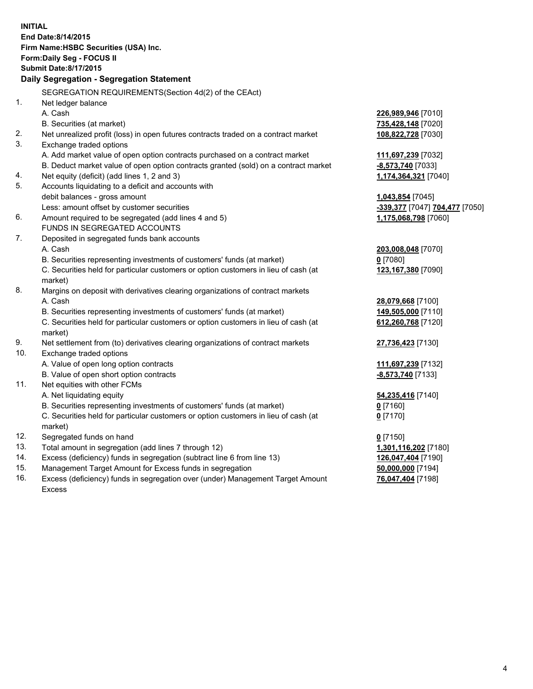| <b>INITIAL</b>                                   | End Date:8/14/2015<br>Firm Name: HSBC Securities (USA) Inc.<br>Form: Daily Seg - FOCUS II |                                                        |  |  |  |
|--------------------------------------------------|-------------------------------------------------------------------------------------------|--------------------------------------------------------|--|--|--|
| <b>Submit Date: 8/17/2015</b>                    |                                                                                           |                                                        |  |  |  |
| <b>Daily Segregation - Segregation Statement</b> |                                                                                           |                                                        |  |  |  |
|                                                  | SEGREGATION REQUIREMENTS(Section 4d(2) of the CEAct)                                      |                                                        |  |  |  |
| 1.                                               | Net ledger balance                                                                        |                                                        |  |  |  |
|                                                  | A. Cash                                                                                   | 226,989,946 [7010]                                     |  |  |  |
|                                                  | B. Securities (at market)                                                                 | 735,428,148 [7020]                                     |  |  |  |
| 2.                                               | Net unrealized profit (loss) in open futures contracts traded on a contract market        | 108,822,728 [7030]                                     |  |  |  |
| 3.                                               | Exchange traded options                                                                   |                                                        |  |  |  |
|                                                  | A. Add market value of open option contracts purchased on a contract market               | 111,697,239 [7032]                                     |  |  |  |
|                                                  | B. Deduct market value of open option contracts granted (sold) on a contract market       | -8,573,740 [7033]                                      |  |  |  |
| 4.                                               | Net equity (deficit) (add lines 1, 2 and 3)                                               | 1,174,364,321 [7040]                                   |  |  |  |
| 5.                                               | Accounts liquidating to a deficit and accounts with                                       |                                                        |  |  |  |
|                                                  | debit balances - gross amount                                                             | 1,043,854 [7045]                                       |  |  |  |
| 6.                                               | Less: amount offset by customer securities                                                | -339,377 [7047] 704,477 [7050]<br>1,175,068,798 [7060] |  |  |  |
|                                                  | Amount required to be segregated (add lines 4 and 5)<br>FUNDS IN SEGREGATED ACCOUNTS      |                                                        |  |  |  |
| 7.                                               | Deposited in segregated funds bank accounts                                               |                                                        |  |  |  |
|                                                  | A. Cash                                                                                   | 203,008,048 [7070]                                     |  |  |  |
|                                                  | B. Securities representing investments of customers' funds (at market)                    | $0$ [7080]                                             |  |  |  |
|                                                  | C. Securities held for particular customers or option customers in lieu of cash (at       | 123,167,380 [7090]                                     |  |  |  |
|                                                  | market)                                                                                   |                                                        |  |  |  |
| 8.                                               | Margins on deposit with derivatives clearing organizations of contract markets            |                                                        |  |  |  |
|                                                  | A. Cash                                                                                   | 28,079,668 [7100]                                      |  |  |  |
|                                                  | B. Securities representing investments of customers' funds (at market)                    | 149,505,000 [7110]                                     |  |  |  |
|                                                  | C. Securities held for particular customers or option customers in lieu of cash (at       | 612,260,768 [7120]                                     |  |  |  |
|                                                  | market)                                                                                   |                                                        |  |  |  |
| 9.                                               | Net settlement from (to) derivatives clearing organizations of contract markets           | 27,736,423 [7130]                                      |  |  |  |
| 10.                                              | Exchange traded options                                                                   |                                                        |  |  |  |
|                                                  | A. Value of open long option contracts                                                    | 111,697,239 [7132]                                     |  |  |  |
|                                                  | B. Value of open short option contracts                                                   | -8,573,740 [7133]                                      |  |  |  |
| 11.                                              | Net equities with other FCMs                                                              |                                                        |  |  |  |
|                                                  | A. Net liquidating equity                                                                 | 54,235,416 [7140]                                      |  |  |  |
|                                                  | B. Securities representing investments of customers' funds (at market)                    | 0 <sup>[7160]</sup>                                    |  |  |  |
|                                                  | C. Securities held for particular customers or option customers in lieu of cash (at       | $0$ [7170]                                             |  |  |  |
|                                                  | market)                                                                                   |                                                        |  |  |  |
| 12.                                              | Segregated funds on hand                                                                  | $0$ [7150]                                             |  |  |  |
| 13.                                              | Total amount in segregation (add lines 7 through 12)                                      | 1,301,116,202 [7180]                                   |  |  |  |
| 14.                                              | Excess (deficiency) funds in segregation (subtract line 6 from line 13)                   | 126,047,404 [7190]                                     |  |  |  |
| 15.                                              | Management Target Amount for Excess funds in segregation                                  | 50,000,000 [7194]                                      |  |  |  |

16. Excess (deficiency) funds in segregation over (under) Management Target Amount Excess

**76,047,404** [7198]